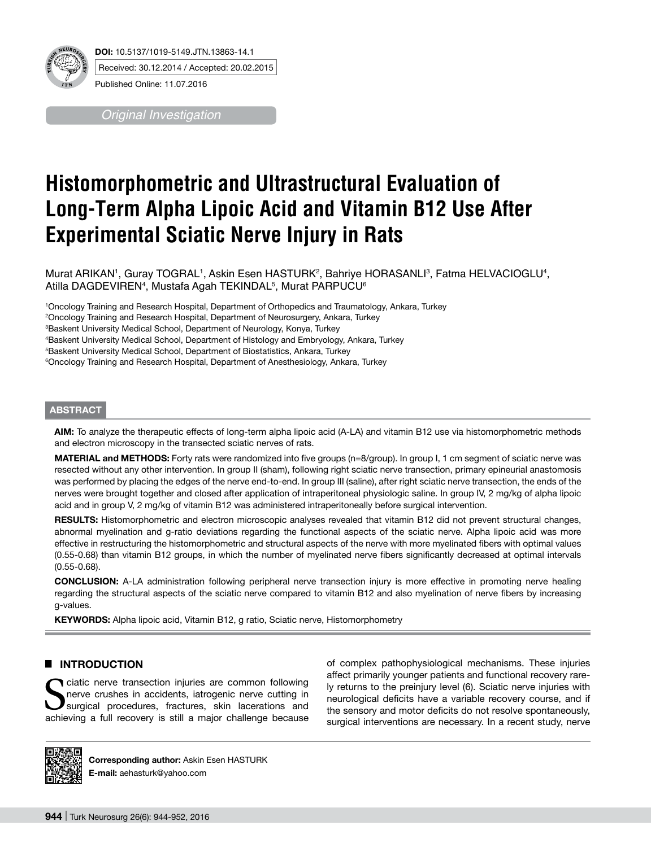

*Original Investigation*

# **Histomorphometric and Ultrastructural Evaluation of Long-Term Alpha Lipoic Acid and Vitamin B12 Use After Experimental Sciatic Nerve Injury in Rats**

Murat ARIKAN', Guray TOGRAL', Askin Esen HASTURK<sup>2</sup>, Bahriye HORASANLI<sup>3</sup>, Fatma HELVACIOGLU<sup>4</sup>, Atilla DAGDEVIREN<sup>4</sup>, Mustafa Agah TEKINDAL<sup>5</sup>, Murat PARPUCU<sup>6</sup>

1 Oncology Training and Research Hospital, Department of Orthopedics and Traumatology, Ankara, Turkey

2 Oncology Training and Research Hospital, Department of Neurosurgery, Ankara, Turkey

3 Baskent University Medical School, Department of Neurology, Konya, Turkey

4 Baskent University Medical School, Department of Histology and Embryology, Ankara, Turkey

5 Baskent University Medical School, Department of Biostatistics, Ankara, Turkey

6 Oncology Training and Research Hospital, Department of Anesthesiology, Ankara, Turkey

# **ABSTRACT**

**AIm:** To analyze the therapeutic effects of long-term alpha lipoic acid (A-LA) and vitamin B12 use via histomorphometric methods and electron microscopy in the transected sciatic nerves of rats.

**MATERIAL and METHODS:** Forty rats were randomized into five groups (n=8/group). In group I, 1 cm segment of sciatic nerve was resected without any other intervention. In group II (sham), following right sciatic nerve transection, primary epineurial anastomosis was performed by placing the edges of the nerve end-to-end. In group III (saline), after right sciatic nerve transection, the ends of the nerves were brought together and closed after application of intraperitoneal physiologic saline. In group IV, 2 mg/kg of alpha lipoic acid and in group V, 2 mg/kg of vitamin B12 was administered intraperitoneally before surgical intervention.

RESULTS: Histomorphometric and electron microscopic analyses revealed that vitamin B12 did not prevent structural changes, abnormal myelination and g-ratio deviations regarding the functional aspects of the sciatic nerve. Alpha lipoic acid was more effective in restructuring the histomorphometric and structural aspects of the nerve with more myelinated fibers with optimal values (0.55-0.68) than vitamin B12 groups, in which the number of myelinated nerve fibers significantly decreased at optimal intervals (0.55-0.68).

**ConclusIon:** A-LA administration following peripheral nerve transection injury is more effective in promoting nerve healing regarding the structural aspects of the sciatic nerve compared to vitamin B12 and also myelination of nerve fibers by increasing g-values.

**KEYWORDS:** Alpha lipoic acid, Vitamin B12, g ratio, Sciatic nerve, Histomorphometry

# █ **Introduction**

ciatic nerve transection injuries are common following nerve crushes in accidents, iatrogenic nerve cutting in surgical procedures, fractures, skin lacerations and achieving a full recovery is still a major challenge because

of complex pathophysiological mechanisms. These injuries affect primarily younger patients and functional recovery rarely returns to the preinjury level (6). Sciatic nerve injuries with neurological deficits have a variable recovery course, and if the sensory and motor deficits do not resolve spontaneously, surgical interventions are necessary. In a recent study, nerve



Corresponding author: Askin Esen HASTURK **E-mail:** aehasturk@yahoo.com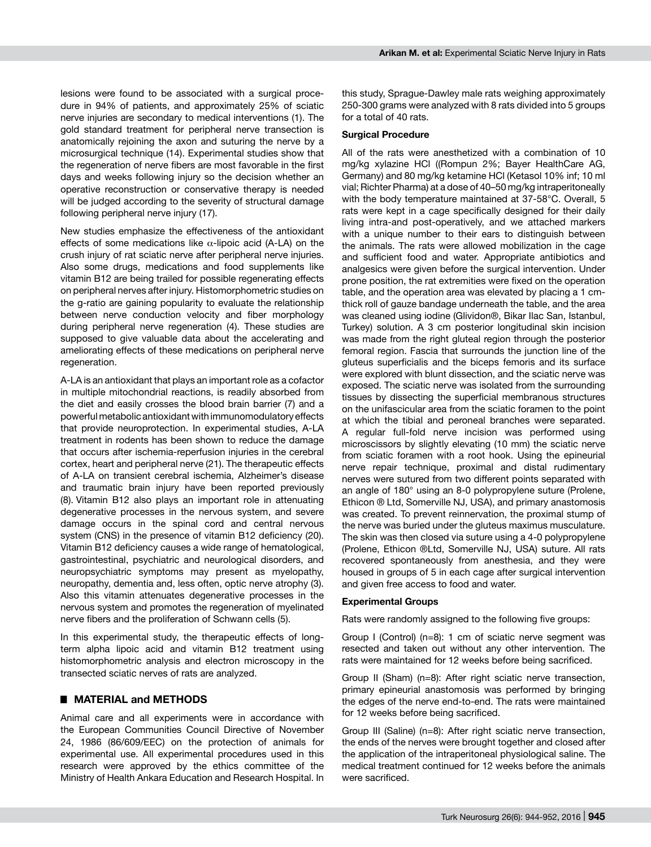lesions were found to be associated with a surgical procedure in 94% of patients, and approximately 25% of sciatic nerve injuries are secondary to medical interventions (1). The gold standard treatment for peripheral nerve transection is anatomically rejoining the axon and suturing the nerve by a microsurgical technique (14). Experimental studies show that the regeneration of nerve fibers are most favorable in the first days and weeks following injury so the decision whether an operative reconstruction or conservative therapy is needed will be judged according to the severity of structural damage following peripheral nerve injury (17).

New studies emphasize the effectiveness of the antioxidant effects of some medications like  $\alpha$ -lipoic acid (A-LA) on the crush injury of rat sciatic nerve after peripheral nerve injuries. Also some drugs, medications and food supplements like vitamin B12 are being trailed for possible regenerating effects on peripheral nerves after injury. Histomorphometric studies on the g-ratio are gaining popularity to evaluate the relationship between nerve conduction velocity and fiber morphology during peripheral nerve regeneration (4). These studies are supposed to give valuable data about the accelerating and ameliorating effects of these medications on peripheral nerve regeneration.

A-LA is an antioxidant that plays an important role as a cofactor in multiple mitochondrial reactions, is readily absorbed from the diet and easily crosses the blood brain barrier (7) and a powerful metabolic antioxidant with immunomodulatory effects that provide neuroprotection. In experimental studies, A-LA treatment in rodents has been shown to reduce the damage that occurs after ischemia-reperfusion injuries in the cerebral cortex, heart and peripheral nerve (21). The therapeutic effects of A-LA on transient cerebral ischemia, Alzheimer's disease and traumatic brain injury have been reported previously (8). Vitamin B12 also plays an important role in attenuating degenerative processes in the nervous system, and severe damage occurs in the spinal cord and central nervous system (CNS) in the presence of vitamin B12 deficiency (20). Vitamin B12 deficiency causes a wide range of hematological, gastrointestinal, psychiatric and neurological disorders, and neuropsychiatric symptoms may present as myelopathy, neuropathy, dementia and, less often, optic nerve atrophy (3). Also this vitamin attenuates degenerative processes in the nervous system and promotes the regeneration of myelinated nerve fibers and the proliferation of Schwann cells (5).

In this experimental study, the therapeutic effects of longterm alpha lipoic acid and vitamin B12 treatment using histomorphometric analysis and electron microscopy in the transected sciatic nerves of rats are analyzed.

# █ **Material and Methods**

Animal care and all experiments were in accordance with the European Communities Council Directive of November 24, 1986 (86/609/EEC) on the protection of animals for experimental use. All experimental procedures used in this research were approved by the ethics committee of the Ministry of Health Ankara Education and Research Hospital. In

this study, Sprague-Dawley male rats weighing approximately 250-300 grams were analyzed with 8 rats divided into 5 groups for a total of 40 rats.

#### **Surgical Procedure**

All of the rats were anesthetized with a combination of 10 mg/kg xylazine HCl ((Rompun 2%; Bayer HealthCare AG, Germany) and 80 mg/kg ketamine HCl (Ketasol 10% inf; 10 ml vial; Richter Pharma) at a dose of 40–50 mg/kg intraperitoneally with the body temperature maintained at 37-58°C. Overall, 5 rats were kept in a cage specifically designed for their daily living intra-and post-operatively, and we attached markers with a unique number to their ears to distinguish between the animals. The rats were allowed mobilization in the cage and sufficient food and water. Appropriate antibiotics and analgesics were given before the surgical intervention. Under prone position, the rat extremities were fixed on the operation table, and the operation area was elevated by placing a 1 cmthick roll of gauze bandage underneath the table, and the area was cleaned using iodine (Glividon®, Bikar Ilac San, Istanbul, Turkey) solution. A 3 cm posterior longitudinal skin incision was made from the right gluteal region through the posterior femoral region. Fascia that surrounds the junction line of the gluteus superficialis and the biceps femoris and its surface were explored with blunt dissection, and the sciatic nerve was exposed. The sciatic nerve was isolated from the surrounding tissues by dissecting the superficial membranous structures on the unifascicular area from the sciatic foramen to the point at which the tibial and peroneal branches were separated. A regular full-fold nerve incision was performed using microscissors by slightly elevating (10 mm) the sciatic nerve from sciatic foramen with a root hook. Using the epineurial nerve repair technique, proximal and distal rudimentary nerves were sutured from two different points separated with an angle of 180° using an 8-0 polypropylene suture (Prolene, Ethicon ® Ltd, Somerville NJ, USA), and primary anastomosis was created. To prevent reinnervation, the proximal stump of the nerve was buried under the gluteus maximus musculature. The skin was then closed via suture using a 4-0 polypropylene (Prolene, Ethicon ®Ltd, Somerville NJ, USA) suture. All rats recovered spontaneously from anesthesia, and they were housed in groups of 5 in each cage after surgical intervention and given free access to food and water.

#### **Experimental Groups**

Rats were randomly assigned to the following five groups:

Group I (Control) (n=8): 1 cm of sciatic nerve segment was resected and taken out without any other intervention. The rats were maintained for 12 weeks before being sacrificed.

Group II (Sham) (n=8): After right sciatic nerve transection, primary epineurial anastomosis was performed by bringing the edges of the nerve end-to-end. The rats were maintained for 12 weeks before being sacrificed.

Group III (Saline) (n=8): After right sciatic nerve transection, the ends of the nerves were brought together and closed after the application of the intraperitoneal physiological saline. The medical treatment continued for 12 weeks before the animals were sacrificed.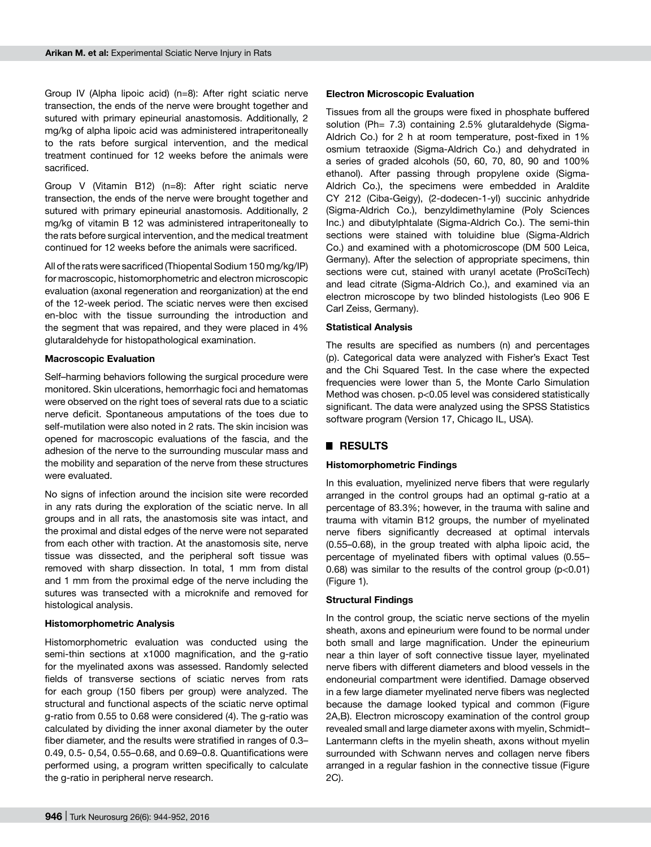Group IV (Alpha lipoic acid) (n=8): After right sciatic nerve transection, the ends of the nerve were brought together and sutured with primary epineurial anastomosis. Additionally, 2 mg/kg of alpha lipoic acid was administered intraperitoneally to the rats before surgical intervention, and the medical treatment continued for 12 weeks before the animals were sacrificed.

Group V (Vitamin B12) (n=8): After right sciatic nerve transection, the ends of the nerve were brought together and sutured with primary epineurial anastomosis. Additionally, 2 mg/kg of vitamin B 12 was administered intraperitoneally to the rats before surgical intervention, and the medical treatment continued for 12 weeks before the animals were sacrificed.

All of the rats were sacrificed (Thiopental Sodium 150 mg/kg/IP) for macroscopic, histomorphometric and electron microscopic evaluation (axonal regeneration and reorganization) at the end of the 12-week period. The sciatic nerves were then excised en-bloc with the tissue surrounding the introduction and the segment that was repaired, and they were placed in 4% glutaraldehyde for histopathological examination.

#### **Macroscopic Evaluation**

Self–harming behaviors following the surgical procedure were monitored. Skin ulcerations, hemorrhagic foci and hematomas were observed on the right toes of several rats due to a sciatic nerve deficit. Spontaneous amputations of the toes due to self-mutilation were also noted in 2 rats. The skin incision was opened for macroscopic evaluations of the fascia, and the adhesion of the nerve to the surrounding muscular mass and the mobility and separation of the nerve from these structures were evaluated.

No signs of infection around the incision site were recorded in any rats during the exploration of the sciatic nerve. In all groups and in all rats, the anastomosis site was intact, and the proximal and distal edges of the nerve were not separated from each other with traction. At the anastomosis site, nerve tissue was dissected, and the peripheral soft tissue was removed with sharp dissection. In total, 1 mm from distal and 1 mm from the proximal edge of the nerve including the sutures was transected with a microknife and removed for histological analysis.

# **Histomorphometric Analysis**

Histomorphometric evaluation was conducted using the semi-thin sections at x1000 magnification, and the g-ratio for the myelinated axons was assessed. Randomly selected fields of transverse sections of sciatic nerves from rats for each group (150 fibers per group) were analyzed. The structural and functional aspects of the sciatic nerve optimal g-ratio from 0.55 to 0.68 were considered (4). The g-ratio was calculated by dividing the inner axonal diameter by the outer fiber diameter, and the results were stratified in ranges of 0.3– 0.49, 0.5- 0,54, 0.55–0.68, and 0.69–0.8. Quantifications were performed using, a program written specifically to calculate the g-ratio in peripheral nerve research.

#### **Electron Microscopic Evaluation**

Tissues from all the groups were fixed in phosphate buffered solution (Ph= 7.3) containing 2.5% glutaraldehyde (Sigma-Aldrich Co.) for 2 h at room temperature, post-fixed in 1% osmium tetraoxide (Sigma-Aldrich Co.) and dehydrated in a series of graded alcohols (50, 60, 70, 80, 90 and 100% ethanol). After passing through propylene oxide (Sigma-Aldrich Co.), the specimens were embedded in Araldite CY 212 (Ciba-Geigy), (2-dodecen-1-yl) succinic anhydride (Sigma-Aldrich Co.), benzyldimethylamine (Poly Sciences Inc.) and dibutylphtalate (Sigma-Aldrich Co.). The semi-thin sections were stained with toluidine blue (Sigma-Aldrich Co.) and examined with a photomicroscope (DM 500 Leica, Germany). After the selection of appropriate specimens, thin sections were cut, stained with uranyl acetate (ProSciTech) and lead citrate (Sigma-Aldrich Co.), and examined via an electron microscope by two blinded histologists (Leo 906 E Carl Zeiss, Germany).

#### **Statistical Analysis**

The results are specified as numbers (n) and percentages (p). Categorical data were analyzed with Fisher's Exact Test and the Chi Squared Test. In the case where the expected frequencies were lower than 5, the Monte Carlo Simulation Method was chosen. p<0.05 level was considered statistically significant. The data were analyzed using the SPSS Statistics software program (Version 17, Chicago IL, USA).

# █ **Results**

# **Histomorphometric Findings**

In this evaluation, myelinized nerve fibers that were regularly arranged in the control groups had an optimal g-ratio at a percentage of 83.3%; however, in the trauma with saline and trauma with vitamin B12 groups, the number of myelinated nerve fibers significantly decreased at optimal intervals (0.55–0.68), in the group treated with alpha lipoic acid, the percentage of myelinated fibers with optimal values (0.55– 0.68) was similar to the results of the control group  $(p<0.01)$ (Figure 1).

#### **Structural Findings**

In the control group, the sciatic nerve sections of the myelin sheath, axons and epineurium were found to be normal under both small and large magnification. Under the epineurium near a thin layer of soft connective tissue layer, myelinated nerve fibers with different diameters and blood vessels in the endoneurial compartment were identified. Damage observed in a few large diameter myelinated nerve fibers was neglected because the damage looked typical and common (Figure 2A,B). Electron microscopy examination of the control group revealed small and large diameter axons with myelin, Schmidt– Lantermann clefts in the myelin sheath, axons without myelin surrounded with Schwann nerves and collagen nerve fibers arranged in a regular fashion in the connective tissue (Figure 2C).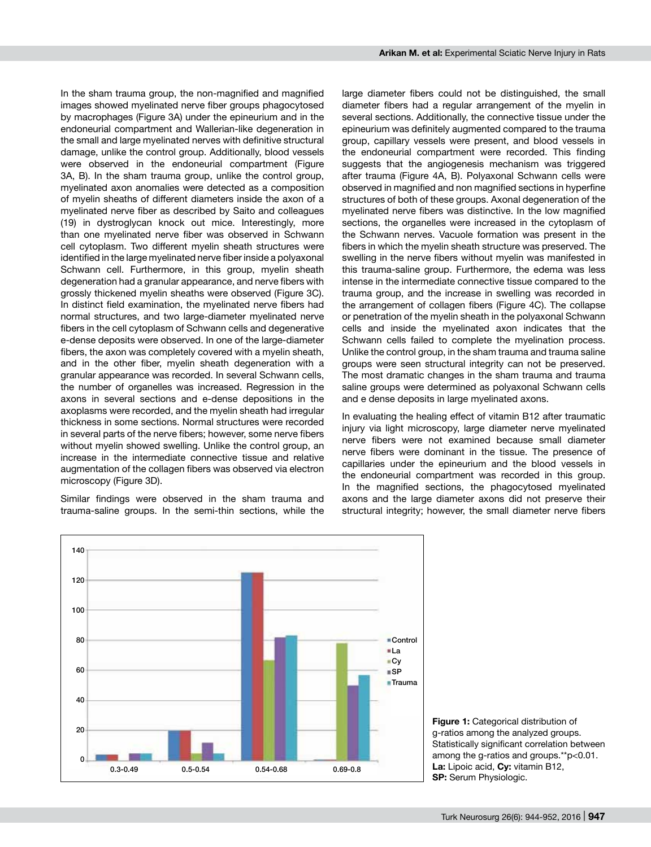In the sham trauma group, the non-magnified and magnified images showed myelinated nerve fiber groups phagocytosed by macrophages (Figure 3A) under the epineurium and in the endoneurial compartment and Wallerian-like degeneration in the small and large myelinated nerves with definitive structural damage, unlike the control group. Additionally, blood vessels were observed in the endoneurial compartment (Figure 3A, B). In the sham trauma group, unlike the control group, myelinated axon anomalies were detected as a composition of myelin sheaths of different diameters inside the axon of a myelinated nerve fiber as described by Saito and colleagues (19) in dystroglycan knock out mice. Interestingly, more than one myelinated nerve fiber was observed in Schwann cell cytoplasm. Two different myelin sheath structures were identified in the large myelinated nerve fiber inside a polyaxonal Schwann cell. Furthermore, in this group, myelin sheath degeneration had a granular appearance, and nerve fibers with grossly thickened myelin sheaths were observed (Figure 3C). In distinct field examination, the myelinated nerve fibers had normal structures, and two large-diameter myelinated nerve fibers in the cell cytoplasm of Schwann cells and degenerative e-dense deposits were observed. In one of the large-diameter fibers, the axon was completely covered with a myelin sheath, and in the other fiber, myelin sheath degeneration with a granular appearance was recorded. In several Schwann cells, the number of organelles was increased. Regression in the axons in several sections and e-dense depositions in the axoplasms were recorded, and the myelin sheath had irregular thickness in some sections. Normal structures were recorded in several parts of the nerve fibers; however, some nerve fibers without myelin showed swelling. Unlike the control group, an increase in the intermediate connective tissue and relative augmentation of the collagen fibers was observed via electron microscopy (Figure 3D).

Similar findings were observed in the sham trauma and trauma-saline groups. In the semi-thin sections, while the

large diameter fibers could not be distinguished, the small diameter fibers had a regular arrangement of the myelin in several sections. Additionally, the connective tissue under the epineurium was definitely augmented compared to the trauma group, capillary vessels were present, and blood vessels in the endoneurial compartment were recorded. This finding suggests that the angiogenesis mechanism was triggered after trauma (Figure 4A, B). Polyaxonal Schwann cells were observed in magnified and non magnified sections in hyperfine structures of both of these groups. Axonal degeneration of the myelinated nerve fibers was distinctive. In the low magnified sections, the organelles were increased in the cytoplasm of the Schwann nerves. Vacuole formation was present in the fibers in which the myelin sheath structure was preserved. The swelling in the nerve fibers without myelin was manifested in this trauma-saline group. Furthermore, the edema was less intense in the intermediate connective tissue compared to the trauma group, and the increase in swelling was recorded in the arrangement of collagen fibers (Figure 4C). The collapse or penetration of the myelin sheath in the polyaxonal Schwann cells and inside the myelinated axon indicates that the Schwann cells failed to complete the myelination process. Unlike the control group, in the sham trauma and trauma saline groups were seen structural integrity can not be preserved. The most dramatic changes in the sham trauma and trauma saline groups were determined as polyaxonal Schwann cells and e dense deposits in large myelinated axons.

In evaluating the healing effect of vitamin B12 after traumatic injury via light microscopy, large diameter nerve myelinated nerve fibers were not examined because small diameter nerve fibers were dominant in the tissue. The presence of capillaries under the epineurium and the blood vessels in the endoneurial compartment was recorded in this group. In the magnified sections, the phagocytosed myelinated axons and the large diameter axons did not preserve their structural integrity; however, the small diameter nerve fibers



**Figure 1:** Categorical distribution of g-ratios among the analyzed groups. Statistically significant correlation between among the g-ratios and groups.\*\*p<0.01. **La:** Lipoic acid, **Cy:** vitamin B12, **SP:** Serum Physiologic.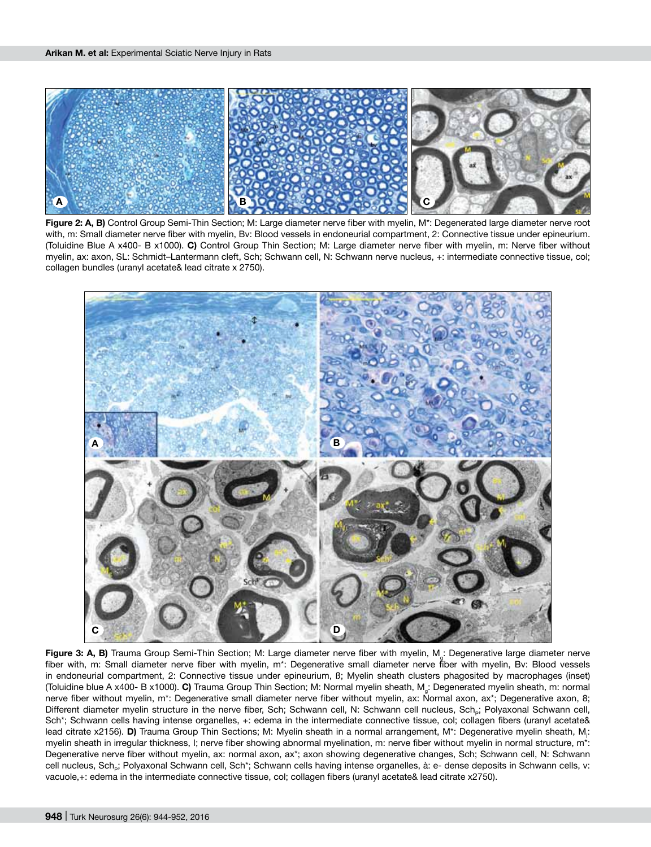

**Figure 2: A, B)** Control Group Semi-Thin Section; M: Large diameter nerve fiber with myelin, M\*: Degenerated large diameter nerve root with, m: Small diameter nerve fiber with myelin, Bv: Blood vessels in endoneurial compartment, 2: Connective tissue under epineurium. (Toluidine Blue A x400- B x1000). **C)** Control Group Thin Section; M: Large diameter nerve fiber with myelin, m: Nerve fiber without myelin, ax: axon, SL: Schmidt–Lantermann cleft, Sch; Schwann cell, N: Schwann nerve nucleus, +: intermediate connective tissue, col; collagen bundles (uranyl acetate& lead citrate x 2750).



Figure 3: A, B) Trauma Group Semi-Thin Section; M: Large diameter nerve fiber with myelin, M<sub>a</sub>: Degenerative large diameter nerve fiber with, m: Small diameter nerve fiber with myelin, m\*: Degenerative small diameter nerve fiber with myelin, Bv: Blood vessels in endoneurial compartment, 2: Connective tissue under epineurium, ß; Myelin sheath clusters phagosited by macrophages (inset) (Toluidine blue A x400- B x1000). **C)** Trauma Group Thin Section; M: Normal myelin sheath, Mg: Degenerated myelin sheath, m: normal nerve fiber without myelin, m\*: Degenerative small diameter nerve fiber without myelin, ax: Normal axon, ax\*; Degenerative axon, 8; Different diameter myelin structure in the nerve fiber, Sch; Schwann cell, N: Schwann cell nucleus, Sch<sub>e</sub>; Polyaxonal Schwann cell, Sch\*; Schwann cells having intense organelles, +: edema in the intermediate connective tissue, col; collagen fibers (uranyl acetate& lead citrate x2156). **D)** Trauma Group Thin Sections; M: Myelin sheath in a normal arrangement, M\*: Degenerative myelin sheath, M<sub>i</sub>: myelin sheath in irregular thickness, I; nerve fiber showing abnormal myelination, m: nerve fiber without myelin in normal structure, m\*: Degenerative nerve fiber without myelin, ax: normal axon, ax\*; axon showing degenerative changes, Sch; Schwann cell, N: Schwann cell nucleus, Sch<sub>e</sub>; Polyaxonal Schwann cell, Sch\*; Schwann cells having intense organelles, à: e- dense deposits in Schwann cells, v: vacuole,+: edema in the intermediate connective tissue, col; collagen fibers (uranyl acetate& lead citrate x2750).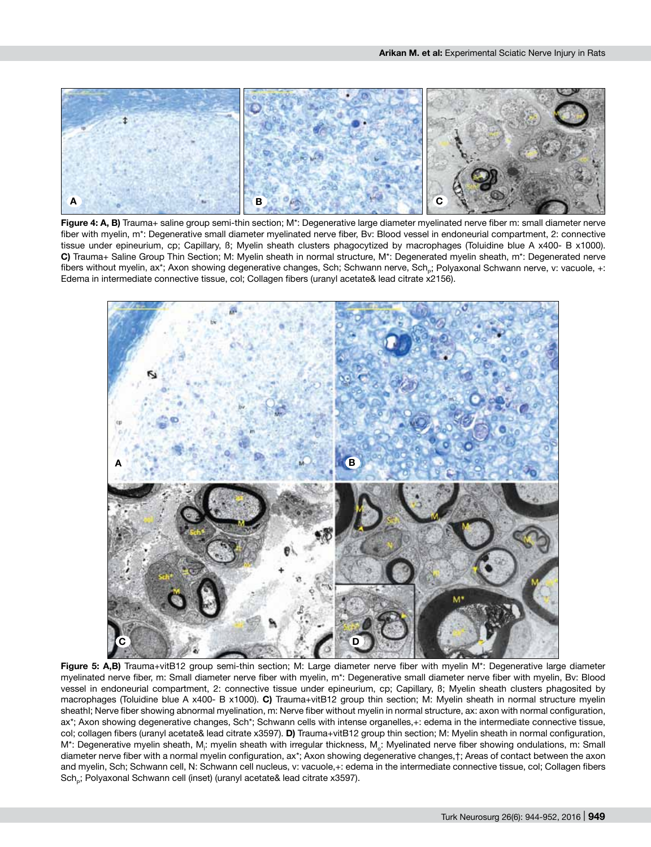

**Figure 4: A, B)** Trauma+ saline group semi-thin section; M\*: Degenerative large diameter myelinated nerve fiber m: small diameter nerve fiber with myelin, m\*: Degenerative small diameter myelinated nerve fiber, Bv: Blood vessel in endoneurial compartment, 2: connective tissue under epineurium, cp; Capillary, ß; Myelin sheath clusters phagocytized by macrophages (Toluidine blue A x400- B x1000). **C)** Trauma+ Saline Group Thin Section; M: Myelin sheath in normal structure, M\*: Degenerated myelin sheath, m\*: Degenerated nerve fibers without myelin, ax\*; Axon showing degenerative changes, Sch; Schwann nerve, Sch<sub>n</sub>; Polyaxonal Schwann nerve, v: vacuole, +: Edema in intermediate connective tissue, col; Collagen fibers (uranyl acetate& lead citrate x2156).



**Figure 5: A,B)** Trauma+vitB12 group semi-thin section; M: Large diameter nerve fiber with myelin M\*: Degenerative large diameter myelinated nerve fiber, m: Small diameter nerve fiber with myelin, m\*: Degenerative small diameter nerve fiber with myelin, Bv: Blood vessel in endoneurial compartment, 2: connective tissue under epineurium, cp; Capillary, ß; Myelin sheath clusters phagosited by macrophages (Toluidine blue A x400- B x1000). **C)** Trauma+vitB12 group thin section; M: Myelin sheath in normal structure myelin sheathI; Nerve fiber showing abnormal myelination, m: Nerve fiber without myelin in normal structure, ax: axon with normal configuration, ax\*; Axon showing degenerative changes, Sch\*; Schwann cells with intense organelles,+: edema in the intermediate connective tissue, col; collagen fibers (uranyl acetate& lead citrate x3597). **D)** Trauma+vitB12 group thin section; M: Myelin sheath in normal configuration, M\*: Degenerative myelin sheath, M<sub>i</sub>: myelin sheath with irregular thickness, M<sub>o</sub>: Myelinated nerve fiber showing ondulations, m: Small diameter nerve fiber with a normal myelin configuration, ax\*; Axon showing degenerative changes,†; Areas of contact between the axon and myelin, Sch; Schwann cell, N: Schwann cell nucleus, v: vacuole,+: edema in the intermediate connective tissue, col; Collagen fibers Sch<sub>a</sub>; Polyaxonal Schwann cell (inset) (uranyl acetate& lead citrate x3597).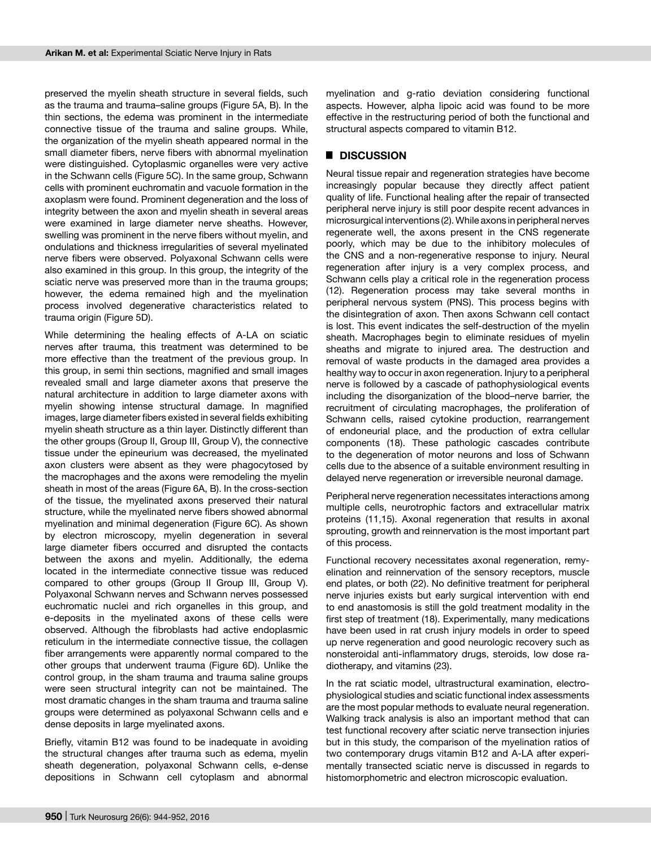preserved the myelin sheath structure in several fields, such as the trauma and trauma–saline groups (Figure 5A, B). In the thin sections, the edema was prominent in the intermediate connective tissue of the trauma and saline groups. While, the organization of the myelin sheath appeared normal in the small diameter fibers, nerve fibers with abnormal myelination were distinguished. Cytoplasmic organelles were very active in the Schwann cells (Figure 5C). In the same group, Schwann cells with prominent euchromatin and vacuole formation in the axoplasm were found. Prominent degeneration and the loss of integrity between the axon and myelin sheath in several areas were examined in large diameter nerve sheaths. However, swelling was prominent in the nerve fibers without myelin, and ondulations and thickness irregularities of several myelinated nerve fibers were observed. Polyaxonal Schwann cells were also examined in this group. In this group, the integrity of the sciatic nerve was preserved more than in the trauma groups; however, the edema remained high and the myelination process involved degenerative characteristics related to trauma origin (Figure 5D).

While determining the healing effects of A-LA on sciatic nerves after trauma, this treatment was determined to be more effective than the treatment of the previous group. In this group, in semi thin sections, magnified and small images revealed small and large diameter axons that preserve the natural architecture in addition to large diameter axons with myelin showing intense structural damage. In magnified images, large diameter fibers existed in several fields exhibiting myelin sheath structure as a thin layer. Distinctly different than the other groups (Group II, Group III, Group V), the connective tissue under the epineurium was decreased, the myelinated axon clusters were absent as they were phagocytosed by the macrophages and the axons were remodeling the myelin sheath in most of the areas (Figure 6A, B). In the cross-section of the tissue, the myelinated axons preserved their natural structure, while the myelinated nerve fibers showed abnormal myelination and minimal degeneration (Figure 6C). As shown by electron microscopy, myelin degeneration in several large diameter fibers occurred and disrupted the contacts between the axons and myelin. Additionally, the edema located in the intermediate connective tissue was reduced compared to other groups (Group II Group III, Group V). Polyaxonal Schwann nerves and Schwann nerves possessed euchromatic nuclei and rich organelles in this group, and e-deposits in the myelinated axons of these cells were observed. Although the fibroblasts had active endoplasmic reticulum in the intermediate connective tissue, the collagen fiber arrangements were apparently normal compared to the other groups that underwent trauma (Figure 6D). Unlike the control group, in the sham trauma and trauma saline groups were seen structural integrity can not be maintained. The most dramatic changes in the sham trauma and trauma saline groups were determined as polyaxonal Schwann cells and e dense deposits in large myelinated axons.

Briefly, vitamin B12 was found to be inadequate in avoiding the structural changes after trauma such as edema, myelin sheath degeneration, polyaxonal Schwann cells, e-dense depositions in Schwann cell cytoplasm and abnormal myelination and g-ratio deviation considering functional aspects. However, alpha lipoic acid was found to be more effective in the restructuring period of both the functional and structural aspects compared to vitamin B12.

# █ **Discussion**

Neural tissue repair and regeneration strategies have become increasingly popular because they directly affect patient quality of life. Functional healing after the repair of transected peripheral nerve injury is still poor despite recent advances in microsurgical interventions (2). While axons in peripheral nerves regenerate well, the axons present in the CNS regenerate poorly, which may be due to the inhibitory molecules of the CNS and a non-regenerative response to injury. Neural regeneration after injury is a very complex process, and Schwann cells play a critical role in the regeneration process (12). Regeneration process may take several months in peripheral nervous system (PNS). This process begins with the disintegration of axon. Then axons Schwann cell contact is lost. This event indicates the self-destruction of the myelin sheath. Macrophages begin to eliminate residues of myelin sheaths and migrate to injured area. The destruction and removal of waste products in the damaged area provides a healthy way to occur in axon regeneration. Injury to a peripheral nerve is followed by a cascade of pathophysiological events including the disorganization of the blood–nerve barrier, the recruitment of circulating macrophages, the proliferation of Schwann cells, raised cytokine production, rearrangement of endoneurial place, and the production of extra cellular components (18). These pathologic cascades contribute to the degeneration of motor neurons and loss of Schwann cells due to the absence of a suitable environment resulting in delayed nerve regeneration or irreversible neuronal damage.

Peripheral nerve regeneration necessitates interactions among multiple cells, neurotrophic factors and extracellular matrix proteins (11,15). Axonal regeneration that results in axonal sprouting, growth and reinnervation is the most important part of this process.

Functional recovery necessitates axonal regeneration, remyelination and reinnervation of the sensory receptors, muscle end plates, or both (22). No definitive treatment for peripheral nerve injuries exists but early surgical intervention with end to end anastomosis is still the gold treatment modality in the first step of treatment (18). Experimentally, many medications have been used in rat crush injury models in order to speed up nerve regeneration and good neurologic recovery such as nonsteroidal anti-inflammatory drugs, steroids, low dose radiotherapy, and vitamins (23).

In the rat sciatic model, ultrastructural examination, electrophysiological studies and sciatic functional index assessments are the most popular methods to evaluate neural regeneration. Walking track analysis is also an important method that can test functional recovery after sciatic nerve transection injuries but in this study, the comparison of the myelination ratios of two contemporary drugs vitamin B12 and A-LA after experimentally transected sciatic nerve is discussed in regards to histomorphometric and electron microscopic evaluation.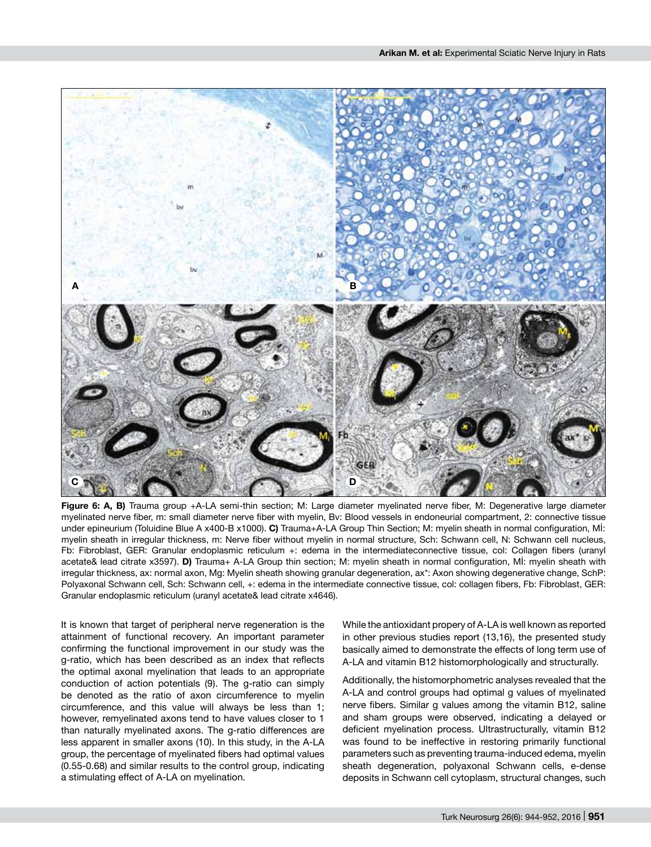

**Figure 6: A, B)** Trauma group +A-LA semi-thin section; M: Large diameter myelinated nerve fiber, M: Degenerative large diameter myelinated nerve fiber, m: small diameter nerve fiber with myelin, Bv: Blood vessels in endoneurial compartment, 2: connective tissue under epineurium (Toluidine Blue A x400-B x1000). **C)** Trauma+A-LA Group Thin Section; M: myelin sheath in normal configuration, Mİ: myelin sheath in irregular thickness, m: Nerve fiber without myelin in normal structure, Sch: Schwann cell, N: Schwann cell nucleus, Fb: Fibroblast, GER: Granular endoplasmic reticulum +: edema in the intermediateconnective tissue, col: Collagen fibers (uranyl acetate& lead citrate x3597). **D)** Trauma+ A-LA Group thin section; M: myelin sheath in normal configuration, Mİ: myelin sheath with irregular thickness, ax: normal axon, Mg: Myelin sheath showing granular degeneration, ax\*: Axon showing degenerative change, SchP: Polyaxonal Schwann cell, Sch: Schwann cell, +: edema in the intermediate connective tissue, col: collagen fibers, Fb: Fibroblast, GER: Granular endoplasmic reticulum (uranyl acetate& lead citrate x4646).

It is known that target of peripheral nerve regeneration is the attainment of functional recovery. An important parameter confirming the functional improvement in our study was the g-ratio, which has been described as an index that reflects the optimal axonal myelination that leads to an appropriate conduction of action potentials (9). The g-ratio can simply be denoted as the ratio of axon circumference to myelin circumference, and this value will always be less than 1; however, remyelinated axons tend to have values closer to 1 than naturally myelinated axons. The g-ratio differences are less apparent in smaller axons (10). In this study, in the A-LA group, the percentage of myelinated fibers had optimal values (0.55-0.68) and similar results to the control group, indicating a stimulating effect of A-LA on myelination.

While the antioxidant propery of A-LA is well known as reported in other previous studies report (13,16), the presented study basically aimed to demonstrate the effects of long term use of A-LA and vitamin B12 histomorphologically and structurally.

Additionally, the histomorphometric analyses revealed that the A-LA and control groups had optimal g values of myelinated nerve fibers. Similar g values among the vitamin B12, saline and sham groups were observed, indicating a delayed or deficient myelination process. Ultrastructurally, vitamin B12 was found to be ineffective in restoring primarily functional parameters such as preventing trauma-induced edema, myelin sheath degeneration, polyaxonal Schwann cells, e-dense deposits in Schwann cell cytoplasm, structural changes, such